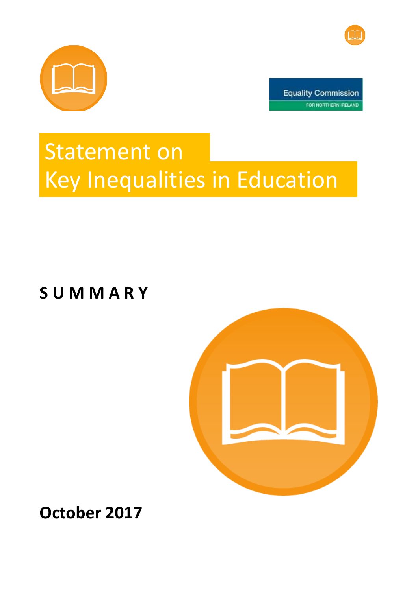



**Equality Commission** FOR NORTHERN IRELAND

## Statement on Key Inequalities in Education

**S U M M A R Y**



**October 2017**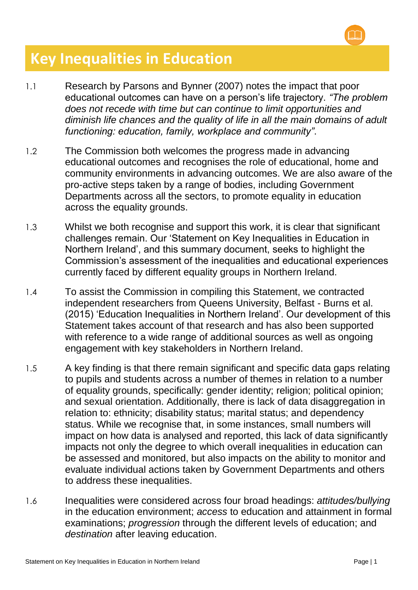

## **Key Inequalities in Education**

- 1.1 Research by Parsons and Bynner (2007) notes the impact that poor educational outcomes can have on a person's life trajectory. *"The problem does not recede with time but can continue to limit opportunities and diminish life chances and the quality of life in all the main domains of adult functioning: education, family, workplace and community"*.
- 1.2 The Commission both welcomes the progress made in advancing educational outcomes and recognises the role of educational, home and community environments in advancing outcomes. We are also aware of the pro-active steps taken by a range of bodies, including Government Departments across all the sectors, to promote equality in education across the equality grounds.
- 1.3 Whilst we both recognise and support this work, it is clear that significant challenges remain. Our 'Statement on Key Inequalities in Education in Northern Ireland', and this summary document, seeks to highlight the Commission's assessment of the inequalities and educational experiences currently faced by different equality groups in Northern Ireland.
- 1.4 To assist the Commission in compiling this Statement, we contracted independent researchers from Queens University, Belfast - Burns et al. (2015) 'Education Inequalities in Northern Ireland'. Our development of this Statement takes account of that research and has also been supported with reference to a wide range of additional sources as well as ongoing engagement with key stakeholders in Northern Ireland.
- 1.5 A key finding is that there remain significant and specific data gaps relating to pupils and students across a number of themes in relation to a number of equality grounds, specifically: gender identity; religion; political opinion; and sexual orientation. Additionally, there is lack of data disaggregation in relation to: ethnicity; disability status; marital status; and dependency status. While we recognise that, in some instances, small numbers will impact on how data is analysed and reported, this lack of data significantly impacts not only the degree to which overall inequalities in education can be assessed and monitored, but also impacts on the ability to monitor and evaluate individual actions taken by Government Departments and others to address these inequalities.
- 1.6 Inequalities were considered across four broad headings: *attitudes/bullying* in the education environment; *access* to education and attainment in formal examinations; *progression* through the different levels of education; and *destination* after leaving education.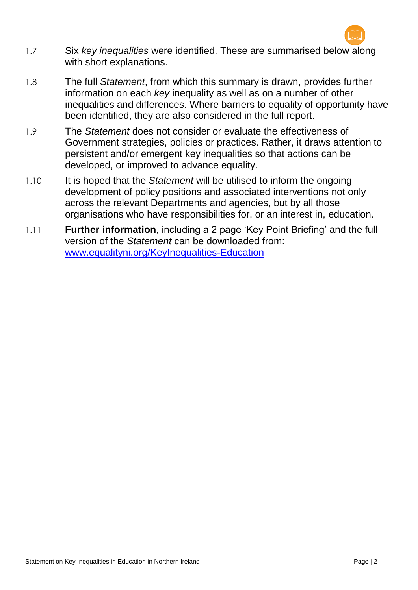

- 1.7 Six *key inequalities* were identified. These are summarised below along with short explanations.
- 1.8 The full *Statement*, from which this summary is drawn, provides further information on each *key* inequality as well as on a number of other inequalities and differences. Where barriers to equality of opportunity have been identified, they are also considered in the full report.
- 1.9 The *Statement* does not consider or evaluate the effectiveness of Government strategies, policies or practices. Rather, it draws attention to persistent and/or emergent key inequalities so that actions can be developed, or improved to advance equality.
- 1.10 It is hoped that the *Statement* will be utilised to inform the ongoing development of policy positions and associated interventions not only across the relevant Departments and agencies, but by all those organisations who have responsibilities for, or an interest in, education.
- 1.11 **Further information**, including a 2 page 'Key Point Briefing' and the full version of the *Statement* can be downloaded from: [www.equalityni.org/KeyInequalities-Education](http://www.equalityni.org/KeyInequalities-Education)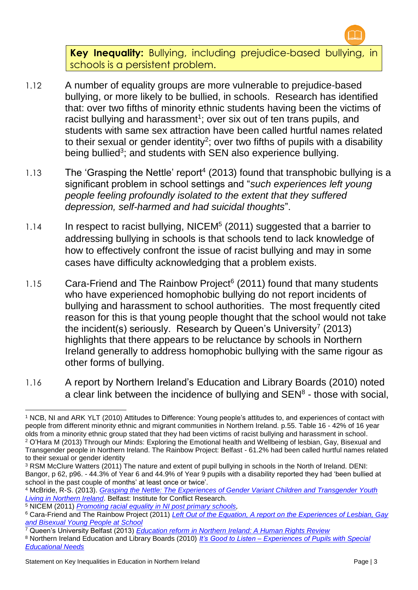

**Key Inequality:** Bullying, including prejudice-based bullying, in schools is a persistent problem.

- 1.12 A number of equality groups are more vulnerable to prejudice-based bullying, or more likely to be bullied, in schools. Research has identified that: over two fifths of minority ethnic students having been the victims of racist bullying and harassment<sup>1</sup>; over six out of ten trans pupils, and students with same sex attraction have been called hurtful names related to their sexual or gender identity<sup>2</sup>; over two fifths of pupils with a disability being bullied<sup>3</sup>; and students with SEN also experience bullying.
- 1.13 The 'Grasping the Nettle' report<sup>4</sup> (2013) found that transphobic bullying is a significant problem in school settings and "*such experiences left young people feeling profoundly isolated to the extent that they suffered depression, self-harmed and had suicidal thoughts*".
- 1.14 In respect to racist bullying, NICEM<sup>5</sup> (2011) suggested that a barrier to addressing bullying in schools is that schools tend to lack knowledge of how to effectively confront the issue of racist bullying and may in some cases have difficulty acknowledging that a problem exists.
- 1.15 Cara-Friend and The Rainbow Project<sup>6</sup> (2011) found that many students who have experienced homophobic bullying do not report incidents of bullying and harassment to school authorities. The most frequently cited reason for this is that young people thought that the school would not take the incident(s) seriously. Research by Queen's University<sup>7</sup> (2013) highlights that there appears to be reluctance by schools in Northern Ireland generally to address homophobic bullying with the same rigour as other forms of bullying.
- 1.16 A report by Northern Ireland's Education and Library Boards (2010) noted a clear link between the incidence of bullying and  $SEN<sup>8</sup>$  - those with social,

<sup>7</sup> Queen's University Belfast (2013) *[Education reform in Northern Ireland: A Human Rights Review](http://www.qub.ac.uk/research-centres/CentreforChildrensRights/filestore/Filetoupload,485594,en.pdf)*

1

<sup>1</sup> NCB, NI and ARK YLT (2010) Attitudes to Difference: Young people's attitudes to, and experiences of contact with people from different minority ethnic and migrant communities in Northern Ireland. p.55. Table 16 - 42% of 16 year olds from a minority ethnic group stated that they had been victims of racist bullying and harassment in school. <sup>2</sup> O'Hara M (2013) Through our Minds: Exploring the Emotional health and Wellbeing of lesbian, Gay, Bisexual and Transgender people in Northern Ireland. The Rainbow Project: Belfast - 61.2% had been called hurtful names related to their sexual or gender identity

<sup>&</sup>lt;sup>3</sup> RSM McClure Watters (2011) The nature and extent of pupil bullying in schools in the North of Ireland. DENI: Bangor, p 62, p96. - 44.3% of Year 6 and 44.9% of Year 9 pupils with a disability reported they had 'been bullied at school in the past couple of months' at least once or twice'.

<sup>4</sup> McBride, R-S. (2013). *[Grasping the Nettle: The Experiences of Gender Variant Children and Transgender Youth](http://www.ofmdfmni.gov.uk/grasping-the-nettle-transgender-youth-living-in-ni.pdf)  [Living in Northern Ireland](http://www.ofmdfmni.gov.uk/grasping-the-nettle-transgender-youth-living-in-ni.pdf)*. Belfast: Institute for Conflict Research.

<sup>5</sup> NICEM (2011) *[Promoting racial equality in NI post primary schools,](http://www.google.co.uk/url?sa=t&rct=j&q=&esrc=s&source=web&cd=1&cad=rja&uact=8&ved=0CCEQFjAA&url=http%3A%2F%2Fnicem.org.uk%2Fwp-content%2Fuploads%2F2014%2F03%2FEducation_report_-_Final_PDF.pdf&ei=X4X1VL3yA83lasH_gdgN&usg=AFQjCNEtq7ocUb2sKjXsOAE9G5tCiVHQBg)* 

<sup>6</sup> Cara-Friend and The Rainbow Project (2011) *[Left Out of the Equation, A report on the Experiences of Lesbian, Gay](http://www.cara-friend.org.uk/assets/docs/left%20out%20of%20the%20equation.pdf)  [and Bisexual Young People at School](http://www.cara-friend.org.uk/assets/docs/left%20out%20of%20the%20equation.pdf)*

<sup>8</sup> Northern Ireland Education and Library Boards (2010) *It's Good to Listen – [Experiences of Pupils with Special](http://www.staffcom.org.uk/pdfs/ItsGoodtoListen.pdf)  [Educational Needs](http://www.staffcom.org.uk/pdfs/ItsGoodtoListen.pdf)*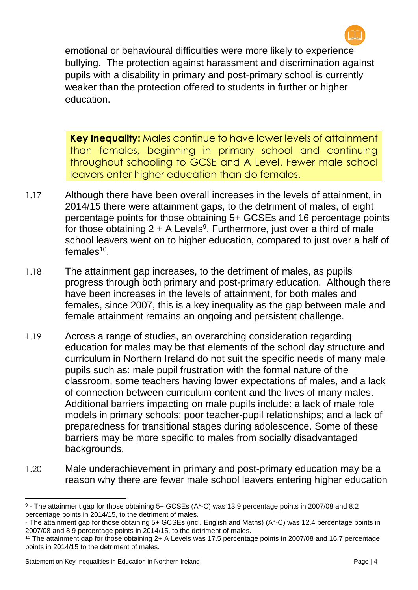

emotional or behavioural difficulties were more likely to experience bullying. The protection against harassment and discrimination against pupils with a disability in primary and post-primary school is currently weaker than the protection offered to students in further or higher education.

**Key Inequality:** Males continue to have lower levels of attainment than females, beginning in primary school and continuing throughout schooling to GCSE and A Level. Fewer male school leavers enter higher education than do females.

- 1.17 Although there have been overall increases in the levels of attainment, in 2014/15 there were attainment gaps, to the detriment of males, of eight percentage points for those obtaining 5+ GCSEs and 16 percentage points for those obtaining  $2 + A$  Levels<sup>9</sup>. Furthermore, just over a third of male school leavers went on to higher education, compared to just over a half of females<sup>10</sup>.
- 1.18 The attainment gap increases, to the detriment of males, as pupils progress through both primary and post-primary education. Although there have been increases in the levels of attainment, for both males and females, since 2007, this is a key inequality as the gap between male and female attainment remains an ongoing and persistent challenge.
- 1.19 Across a range of studies, an overarching consideration regarding education for males may be that elements of the school day structure and curriculum in Northern Ireland do not suit the specific needs of many male pupils such as: male pupil frustration with the formal nature of the classroom, some teachers having lower expectations of males, and a lack of connection between curriculum content and the lives of many males. Additional barriers impacting on male pupils include: a lack of male role models in primary schools; poor teacher-pupil relationships; and a lack of preparedness for transitional stages during adolescence. Some of these barriers may be more specific to males from socially disadvantaged backgrounds.
- 1.20 Male underachievement in primary and post-primary education may be a reason why there are fewer male school leavers entering higher education

**.** 

<sup>9</sup> - The attainment gap for those obtaining 5+ GCSEs (A\*-C) was 13.9 percentage points in 2007/08 and 8.2 percentage points in 2014/15, to the detriment of males.

<sup>-</sup> The attainment gap for those obtaining 5+ GCSEs (incl. English and Maths) (A\*-C) was 12.4 percentage points in 2007/08 and 8.9 percentage points in 2014/15, to the detriment of males.

<sup>10</sup> The attainment gap for those obtaining 2+ A Levels was 17.5 percentage points in 2007/08 and 16.7 percentage points in 2014/15 to the detriment of males.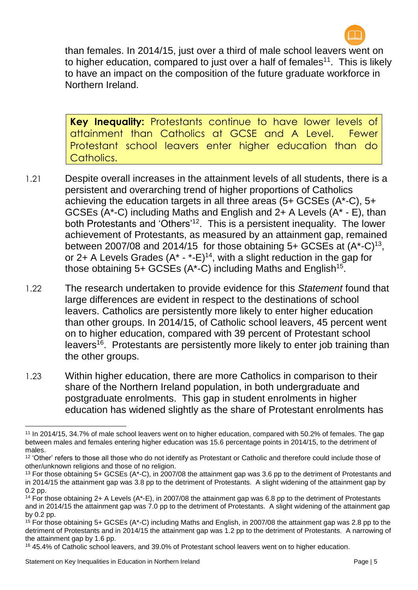

than females. In 2014/15, just over a third of male school leavers went on to higher education, compared to just over a half of females<sup>11</sup>. This is likely to have an impact on the composition of the future graduate workforce in Northern Ireland.

**Key Inequality:** Protestants continue to have lower levels of attainment than Catholics at GCSE and A Level. Fewer Protestant school leavers enter higher education than do Catholics.

- 1.21 Despite overall increases in the attainment levels of all students, there is a persistent and overarching trend of higher proportions of Catholics achieving the education targets in all three areas (5+ GCSEs (A\*-C), 5+ GCSEs (A\*-C) including Maths and English and 2+ A Levels (A\* - E), than both Protestants and 'Others'<sup>12</sup>. This is a persistent inequality. The lower achievement of Protestants, as measured by an attainment gap, remained between 2007/08 and 2014/15 for those obtaining  $5+$  GCSEs at  $(A*-C)^{13}$ , or 2+ A Levels Grades  $(A^* - (-1)^{14})$ , with a slight reduction in the gap for those obtaining  $5+$  GCSEs (A\*-C) including Maths and English<sup>15</sup>.
- 1.22 The research undertaken to provide evidence for this *Statement* found that large differences are evident in respect to the destinations of school leavers. Catholics are persistently more likely to enter higher education than other groups. In 2014/15, of Catholic school leavers, 45 percent went on to higher education, compared with 39 percent of Protestant school leavers<sup>16</sup>. Protestants are persistently more likely to enter job training than the other groups.
- 1.23 Within higher education, there are more Catholics in comparison to their share of the Northern Ireland population, in both undergraduate and postgraduate enrolments. This gap in student enrolments in higher education has widened slightly as the share of Protestant enrolments has

**<sup>.</sup>** <sup>11</sup> In 2014/15, 34.7% of male school leavers went on to higher education, compared with 50.2% of females. The gap between males and females entering higher education was 15.6 percentage points in 2014/15, to the detriment of males.

<sup>&</sup>lt;sup>12</sup> 'Other' refers to those all those who do not identify as Protestant or Catholic and therefore could include those of other/unknown religions and those of no religion.

<sup>&</sup>lt;sup>13</sup> For those obtaining 5+ GCSEs (A\*-C), in 2007/08 the attainment gap was 3.6 pp to the detriment of Protestants and in 2014/15 the attainment gap was 3.8 pp to the detriment of Protestants. A slight widening of the attainment gap by 0.2 pp.

<sup>14</sup> For those obtaining 2+ A Levels (A\*-E), in 2007/08 the attainment gap was 6.8 pp to the detriment of Protestants and in 2014/15 the attainment gap was 7.0 pp to the detriment of Protestants. A slight widening of the attainment gap by 0.2 pp.

<sup>15</sup> For those obtaining 5+ GCSEs (A\*-C) including Maths and English, in 2007/08 the attainment gap was 2.8 pp to the detriment of Protestants and in 2014/15 the attainment gap was 1.2 pp to the detriment of Protestants. A narrowing of the attainment gap by 1.6 pp.

<sup>16</sup> 45.4% of Catholic school leavers, and 39.0% of Protestant school leavers went on to higher education.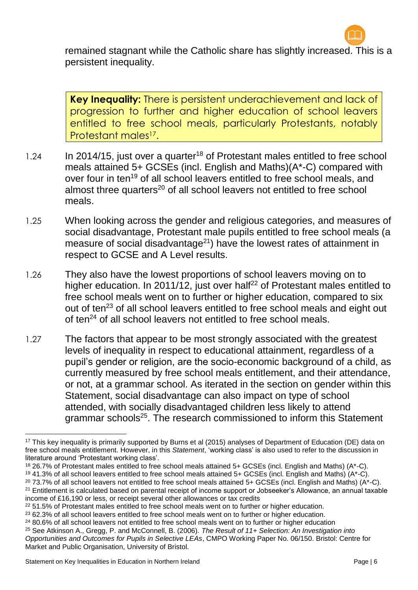

remained stagnant while the Catholic share has slightly increased. This is a persistent inequality.

**Key Inequality:** There is persistent underachievement and lack of progression to further and higher education of school leavers entitled to free school meals, particularly Protestants, notably Protestant males<sup>17</sup>.

- 1.24 In 2014/15, just over a quarter<sup>18</sup> of Protestant males entitled to free school meals attained 5+ GCSEs (incl. English and Maths)(A\*-C) compared with over four in ten<sup>19</sup> of all school leavers entitled to free school meals, and almost three quarters<sup>20</sup> of all school leavers not entitled to free school meals.
- 1.25 When looking across the gender and religious categories, and measures of social disadvantage, Protestant male pupils entitled to free school meals (a measure of social disadvantage<sup>21</sup>) have the lowest rates of attainment in respect to GCSE and A Level results.
- 1.26 They also have the lowest proportions of school leavers moving on to higher education. In 2011/12, just over half<sup>22</sup> of Protestant males entitled to free school meals went on to further or higher education, compared to six out of ten<sup>23</sup> of all school leavers entitled to free school meals and eight out of ten<sup>24</sup> of all school leavers not entitled to free school meals.
- 1.27 The factors that appear to be most strongly associated with the greatest levels of inequality in respect to educational attainment, regardless of a pupil's gender or religion, are the socio-economic background of a child, as currently measured by free school meals entitlement, and their attendance, or not, at a grammar school. As iterated in the section on gender within this Statement, social disadvantage can also impact on type of school attended, with socially disadvantaged children less likely to attend grammar schools<sup>25</sup>. The research commissioned to inform this Statement

 $20$  73.7% of all school leavers not entitled to free school meals attained 5+ GCSEs (incl. English and Maths) ( $A^*$ -C). <sup>21</sup> Entitlement is calculated based on parental receipt of income support or Jobseeker's Allowance, an annual taxable income of £16,190 or less, or receipt several other allowances or tax credits

**<sup>.</sup>** <sup>17</sup> This key inequality is primarily supported by Burns et al (2015) analyses of Department of Education (DE) data on free school meals entitlement. However, in this *Statement*, 'working class' is also used to refer to the discussion in literature around 'Protestant working class'.

<sup>18</sup> 26.7% of Protestant males entitled to free school meals attained 5+ GCSEs (incl. English and Maths) (A\*-C).

<sup>19</sup> 41.3% of all school leavers entitled to free school meals attained 5+ GCSEs (incl. English and Maths) (A\*-C).

<sup>&</sup>lt;sup>22</sup> 51.5% of Protestant males entitled to free school meals went on to further or higher education.

<sup>&</sup>lt;sup>23</sup> 62.3% of all school leavers entitled to free school meals went on to further or higher education.

<sup>&</sup>lt;sup>24</sup> 80.6% of all school leavers not entitled to free school meals went on to further or higher education

<sup>25</sup> See Atkinson A., Gregg, P. and McConnell, B. (2006). *The Result of 11+ Selection: An Investigation into Opportunities and Outcomes for Pupils in Selective LEAs*, CMPO Working Paper No. 06/150. Bristol: Centre for Market and Public Organisation, University of Bristol.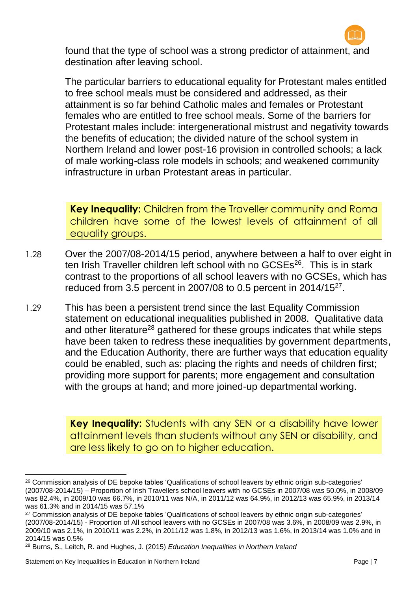

found that the type of school was a strong predictor of attainment, and destination after leaving school.

The particular barriers to educational equality for Protestant males entitled to free school meals must be considered and addressed, as their attainment is so far behind Catholic males and females or Protestant females who are entitled to free school meals. Some of the barriers for Protestant males include: intergenerational mistrust and negativity towards the benefits of education; the divided nature of the school system in Northern Ireland and lower post-16 provision in controlled schools; a lack of male working-class role models in schools; and weakened community infrastructure in urban Protestant areas in particular.

**Key Inequality:** Children from the Traveller community and Roma children have some of the lowest levels of attainment of all equality groups.

- 1.28 Over the 2007/08-2014/15 period, anywhere between a half to over eight in ten Irish Traveller children left school with no GCSEs<sup>26</sup>. This is in stark contrast to the proportions of all school leavers with no GCSEs, which has reduced from 3.5 percent in 2007/08 to 0.5 percent in 2014/15 $^{27}$ .
- 1.29 This has been a persistent trend since the last Equality Commission statement on educational inequalities published in 2008. Qualitative data and other literature<sup>28</sup> gathered for these groups indicates that while steps have been taken to redress these inequalities by government departments, and the Education Authority, there are further ways that education equality could be enabled, such as: placing the rights and needs of children first; providing more support for parents; more engagement and consultation with the groups at hand; and more joined-up departmental working.

**Key Inequality:** Students with any SEN or a disability have lower attainment levels than students without any SEN or disability, and are less likely to go on to higher education.

**.** 

<sup>&</sup>lt;sup>26</sup> Commission analysis of DE bepoke tables 'Qualifications of school leavers by ethnic origin sub-categories' (2007/08-2014/15) – Proportion of Irish Travellers school leavers with no GCSEs in 2007/08 was 50.0%, in 2008/09 was 82.4%, in 2009/10 was 66.7%, in 2010/11 was N/A, in 2011/12 was 64.9%, in 2012/13 was 65.9%, in 2013/14 was 61.3% and in 2014/15 was 57.1%

<sup>&</sup>lt;sup>27</sup> Commission analysis of DE bepoke tables 'Qualifications of school leavers by ethnic origin sub-categories' (2007/08-2014/15) - Proportion of All school leavers with no GCSEs in 2007/08 was 3.6%, in 2008/09 was 2.9%, in 2009/10 was 2.1%, in 2010/11 was 2.2%, in 2011/12 was 1.8%, in 2012/13 was 1.6%, in 2013/14 was 1.0% and in 2014/15 was 0.5%

<sup>28</sup> Burns, S., Leitch, R. and Hughes, J. (2015) *Education Inequalities in Northern Ireland*